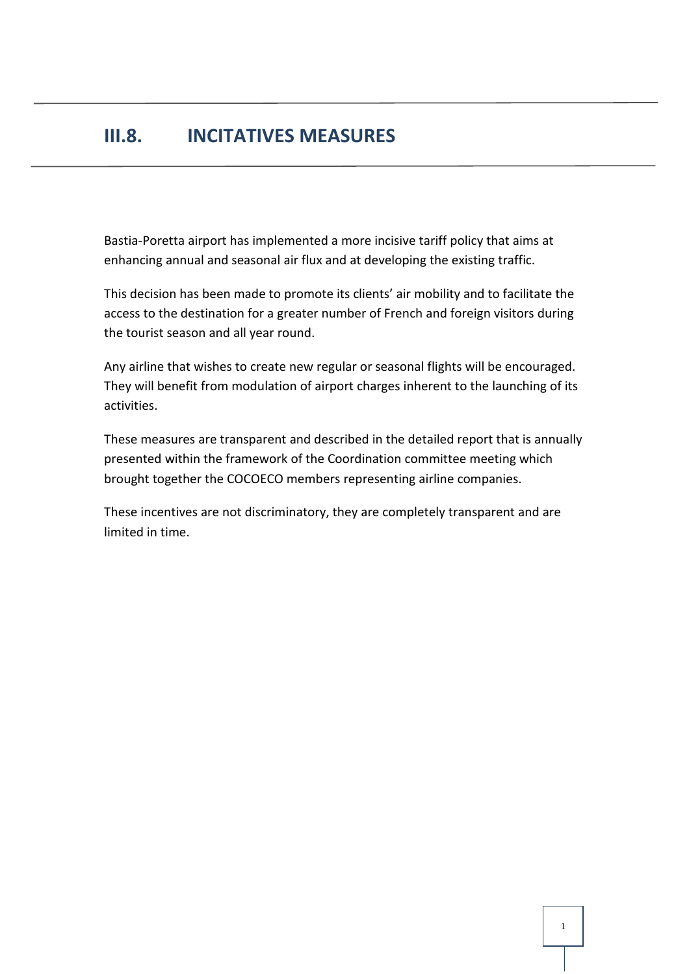## **III.8. INCITATIVES MEASURES**

Bastia-Poretta airport has implemented a more incisive tariff policy that aims at enhancing annual and seasonal air flux and at developing the existing traffic.

This decision has been made to promote its clients' air mobility and to facilitate the access to the destination for a greater number of French and foreign visitors during the tourist season and all year round.

Any airline that wishes to create new regular or seasonal flights will be encouraged. They will benefit from modulation of airport charges inherent to the launching of its activities.

These measures are transparent and described in the detailed report that is annually presented within the framework of the Coordination committee meeting which brought together the COCOECO members representing airline companies.

These incentives are not discriminatory, they are completely transparent and are limited in time.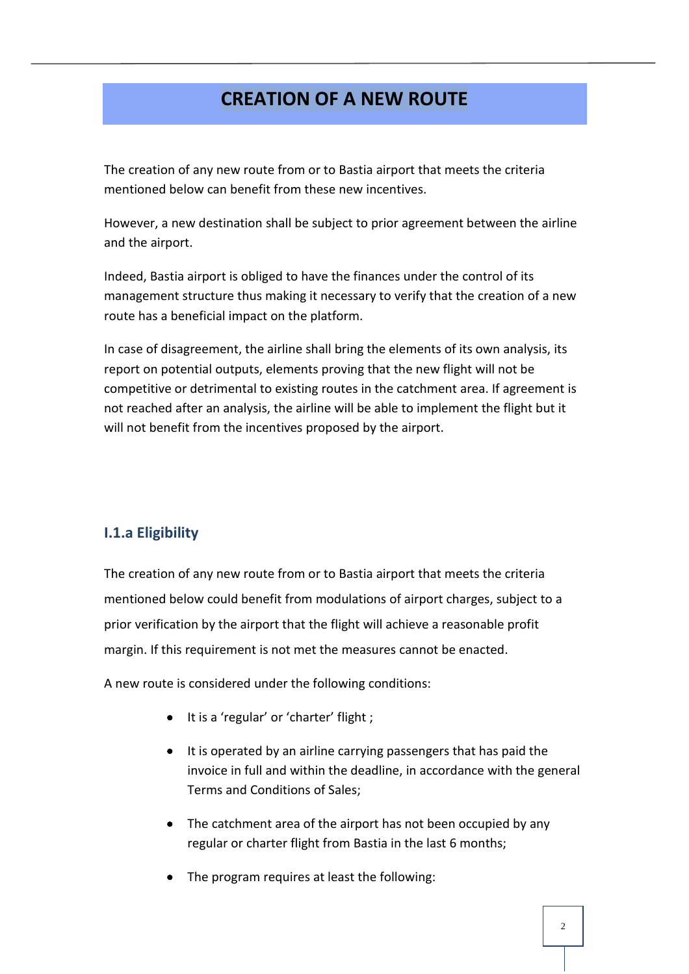## **CREATION OF A NEW ROUTE**

The creation of any new route from or to Bastia airport that meets the criteria mentioned below can benefit from these new incentives.

However, a new destination shall be subject to prior agreement between the airline and the airport.

Indeed, Bastia airport is obliged to have the finances under the control of its management structure thus making it necessary to verify that the creation of a new route has a beneficial impact on the platform.

In case of disagreement, the airline shall bring the elements of its own analysis, its report on potential outputs, elements proving that the new flight will not be competitive or detrimental to existing routes in the catchment area. If agreement is not reached after an analysis, the airline will be able to implement the flight but it will not benefit from the incentives proposed by the airport.

## **I.1.a Eligibility**

The creation of any new route from or to Bastia airport that meets the criteria mentioned below could benefit from modulations of airport charges, subject to a prior verification by the airport that the flight will achieve a reasonable profit margin. If this requirement is not met the measures cannot be enacted.

A new route is considered under the following conditions:

- It is a 'regular' or 'charter' flight ;
- It is operated by an airline carrying passengers that has paid the invoice in full and within the deadline, in accordance with the general Terms and Conditions of Sales;
- The catchment area of the airport has not been occupied by any regular or charter flight from Bastia in the last 6 months;
- The program requires at least the following: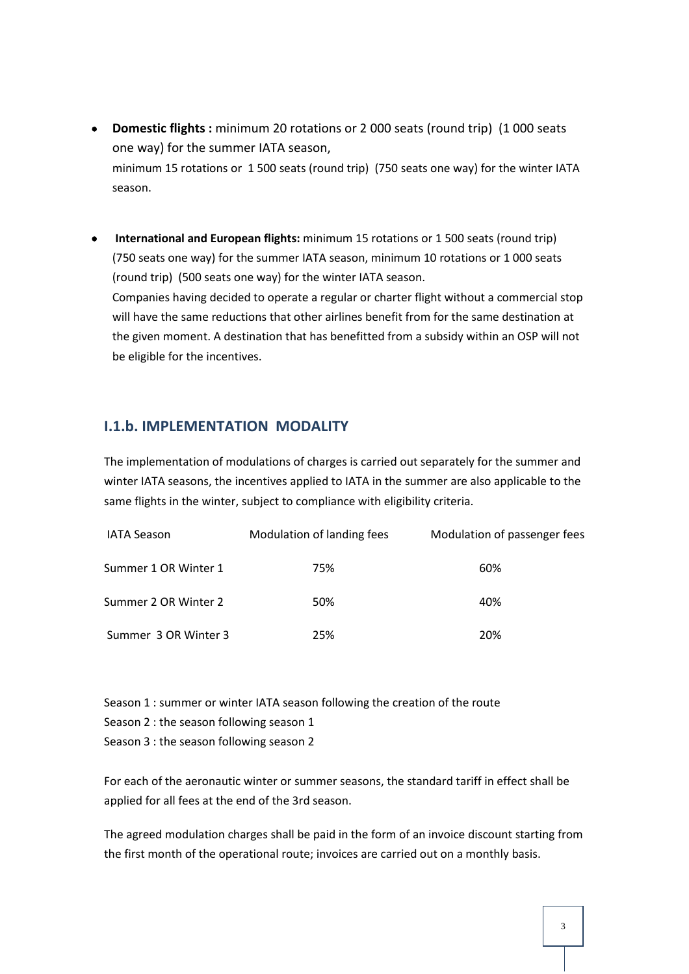- **Domestic flights :** minimum 20 rotations or 2 000 seats (round trip) (1 000 seats one way) for the summer IATA season, minimum 15 rotations or 1 500 seats (round trip) (750 seats one way) for the winter IATA season.
- **International and European flights:** minimum 15 rotations or 1 500 seats (round trip) (750 seats one way) for the summer IATA season, minimum 10 rotations or 1 000 seats (round trip) (500 seats one way) for the winter IATA season. Companies having decided to operate a regular or charter flight without a commercial stop will have the same reductions that other airlines benefit from for the same destination at the given moment. A destination that has benefitted from a subsidy within an OSP will not be eligible for the incentives.

## **I.1.b. IMPLEMENTATION MODALITY**

The implementation of modulations of charges is carried out separately for the summer and winter IATA seasons, the incentives applied to IATA in the summer are also applicable to the same flights in the winter, subject to compliance with eligibility criteria.

| <b>IATA Season</b>   | Modulation of landing fees | Modulation of passenger fees |
|----------------------|----------------------------|------------------------------|
| Summer 1 OR Winter 1 | 75%                        | 60%                          |
| Summer 2 OR Winter 2 | 50%                        | 40%                          |
| Summer 3 OR Winter 3 | 25%                        | 20%                          |

| Season 1 : summer or winter IATA season following the creation of the route |
|-----------------------------------------------------------------------------|
| Season 2 : the season following season 1                                    |
| Season 3 : the season following season 2                                    |

For each of the aeronautic winter or summer seasons, the standard tariff in effect shall be applied for all fees at the end of the 3rd season.

The agreed modulation charges shall be paid in the form of an invoice discount starting from the first month of the operational route; invoices are carried out on a monthly basis.